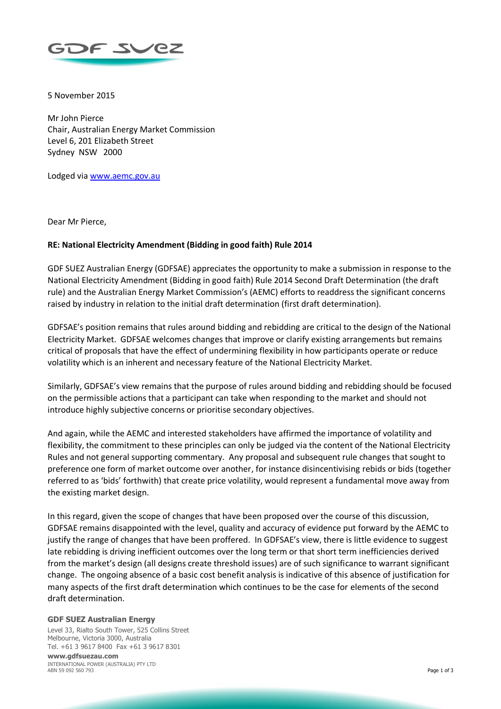

5 November 2015

Mr John Pierce Chair, Australian Energy Market Commission Level 6, 201 Elizabeth Street Sydney NSW 2000

Lodged via [www.aemc.gov.au](http://www.aemc.gov.au/)

Dear Mr Pierce,

# **RE: National Electricity Amendment (Bidding in good faith) Rule 2014**

GDF SUEZ Australian Energy (GDFSAE) appreciates the opportunity to make a submission in response to the National Electricity Amendment (Bidding in good faith) Rule 2014 Second Draft Determination (the draft rule) and the Australian Energy Market Commission's (AEMC) efforts to readdress the significant concerns raised by industry in relation to the initial draft determination (first draft determination).

GDFSAE's position remains that rules around bidding and rebidding are critical to the design of the National Electricity Market. GDFSAE welcomes changes that improve or clarify existing arrangements but remains critical of proposals that have the effect of undermining flexibility in how participants operate or reduce volatility which is an inherent and necessary feature of the National Electricity Market.

Similarly, GDFSAE's view remains that the purpose of rules around bidding and rebidding should be focused on the permissible actions that a participant can take when responding to the market and should not introduce highly subjective concerns or prioritise secondary objectives.

And again, while the AEMC and interested stakeholders have affirmed the importance of volatility and flexibility, the commitment to these principles can only be judged via the content of the National Electricity Rules and not general supporting commentary. Any proposal and subsequent rule changes that sought to preference one form of market outcome over another, for instance disincentivising rebids or bids (together referred to as 'bids' forthwith) that create price volatility, would represent a fundamental move away from the existing market design.

In this regard, given the scope of changes that have been proposed over the course of this discussion, GDFSAE remains disappointed with the level, quality and accuracy of evidence put forward by the AEMC to justify the range of changes that have been proffered. In GDFSAE's view, there is little evidence to suggest late rebidding is driving inefficient outcomes over the long term or that short term inefficiencies derived from the market's design (all designs create threshold issues) are of such significance to warrant significant change. The ongoing absence of a basic cost benefit analysis is indicative of this absence of justification for many aspects of the first draft determination which continues to be the case for elements of the second draft determination.

### **GDF SUEZ Australian Energy**

Level 33, Rialto South Tower, 525 Collins Street Melbourne, Victoria 3000, Australia Tel. +61 3 9617 8400 Fax +61 3 9617 8301

**www.gdfsuezau.com** INTERNATIONAL POWER (AUSTRALIA) PTY LTD ABN 59 092 560 793 Page 1 of 3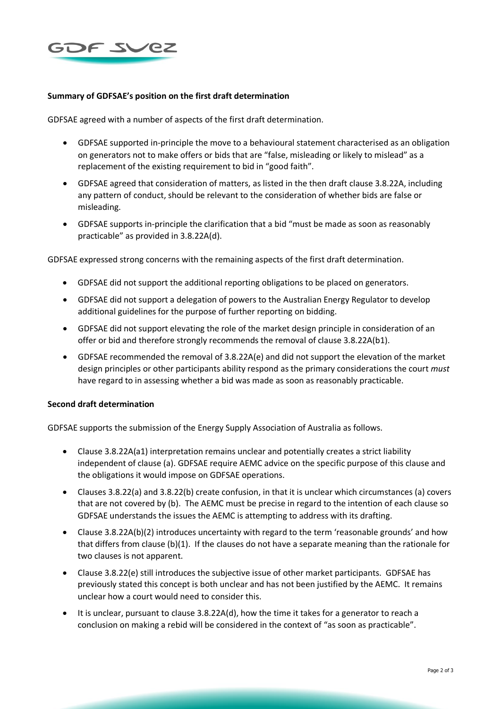

## **Summary of GDFSAE's position on the first draft determination**

GDFSAE agreed with a number of aspects of the first draft determination.

- GDFSAE supported in-principle the move to a behavioural statement characterised as an obligation on generators not to make offers or bids that are "false, misleading or likely to mislead" as a replacement of the existing requirement to bid in "good faith".
- GDFSAE agreed that consideration of matters, as listed in the then draft clause 3.8.22A, including any pattern of conduct, should be relevant to the consideration of whether bids are false or misleading.
- GDFSAE supports in-principle the clarification that a bid "must be made as soon as reasonably practicable" as provided in 3.8.22A(d).

GDFSAE expressed strong concerns with the remaining aspects of the first draft determination.

- GDFSAE did not support the additional reporting obligations to be placed on generators.
- GDFSAE did not support a delegation of powers to the Australian Energy Regulator to develop additional guidelines for the purpose of further reporting on bidding.
- GDFSAE did not support elevating the role of the market design principle in consideration of an offer or bid and therefore strongly recommends the removal of clause 3.8.22A(b1).
- GDFSAE recommended the removal of 3.8.22A(e) and did not support the elevation of the market design principles or other participants ability respond as the primary considerations the court *must* have regard to in assessing whether a bid was made as soon as reasonably practicable.

### **Second draft determination**

GDFSAE supports the submission of the Energy Supply Association of Australia as follows.

- Clause 3.8.22A(a1) interpretation remains unclear and potentially creates a strict liability independent of clause (a). GDFSAE require AEMC advice on the specific purpose of this clause and the obligations it would impose on GDFSAE operations.
- Clauses 3.8.22(a) and 3.8.22(b) create confusion, in that it is unclear which circumstances (a) covers that are not covered by (b). The AEMC must be precise in regard to the intention of each clause so GDFSAE understands the issues the AEMC is attempting to address with its drafting.
- Clause 3.8.22A(b)(2) introduces uncertainty with regard to the term 'reasonable grounds' and how that differs from clause (b)(1). If the clauses do not have a separate meaning than the rationale for two clauses is not apparent.
- Clause 3.8.22(e) still introduces the subjective issue of other market participants. GDFSAE has previously stated this concept is both unclear and has not been justified by the AEMC. It remains unclear how a court would need to consider this.
- It is unclear, pursuant to clause 3.8.22A(d), how the time it takes for a generator to reach a conclusion on making a rebid will be considered in the context of "as soon as practicable".